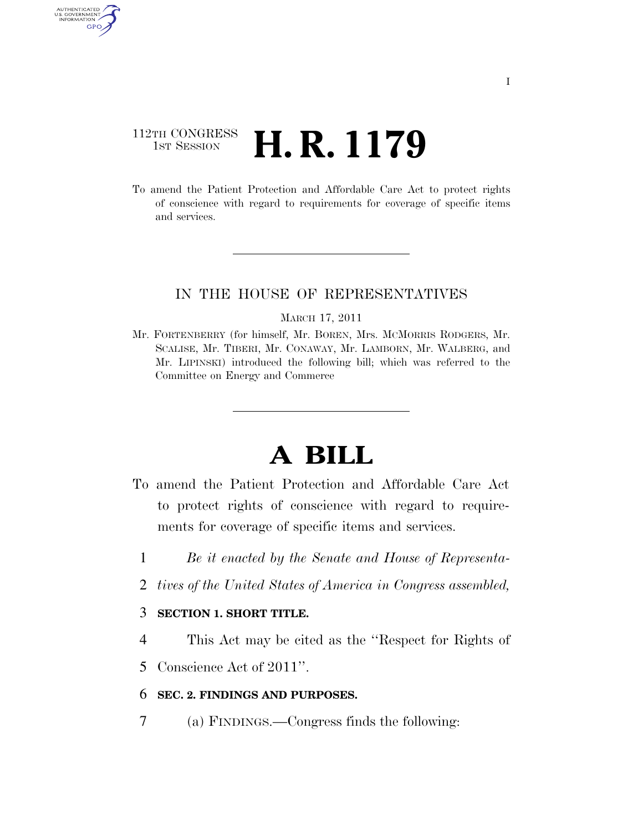# 112TH CONGRESS **1st Session H. R. 1179**

AUTHENTICATED U.S. GOVERNMENT GPO

> To amend the Patient Protection and Affordable Care Act to protect rights of conscience with regard to requirements for coverage of specific items and services.

## IN THE HOUSE OF REPRESENTATIVES

#### MARCH 17, 2011

Mr. FORTENBERRY (for himself, Mr. BOREN, Mrs. MCMORRIS RODGERS, Mr. SCALISE, Mr. TIBERI, Mr. CONAWAY, Mr. LAMBORN, Mr. WALBERG, and Mr. LIPINSKI) introduced the following bill; which was referred to the Committee on Energy and Commerce

# **A BILL**

- To amend the Patient Protection and Affordable Care Act to protect rights of conscience with regard to requirements for coverage of specific items and services.
	- 1 *Be it enacted by the Senate and House of Representa-*
	- 2 *tives of the United States of America in Congress assembled,*

### 3 **SECTION 1. SHORT TITLE.**

- 4 This Act may be cited as the ''Respect for Rights of
- 5 Conscience Act of 2011''.

### 6 **SEC. 2. FINDINGS AND PURPOSES.**

7 (a) FINDINGS.—Congress finds the following: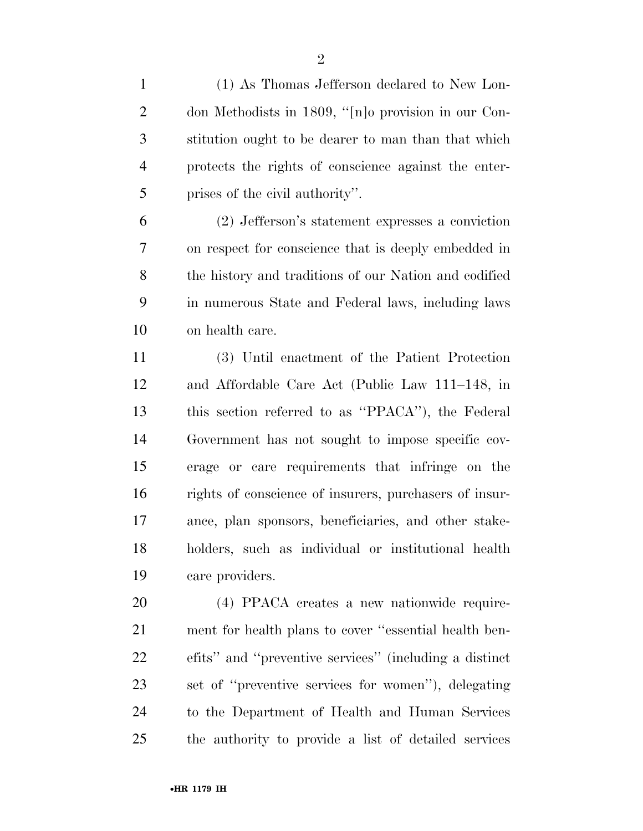(1) As Thomas Jefferson declared to New Lon-

 don Methodists in 1809, ''[n]o provision in our Con- stitution ought to be dearer to man than that which protects the rights of conscience against the enter-prises of the civil authority''.

 (2) Jefferson's statement expresses a conviction on respect for conscience that is deeply embedded in the history and traditions of our Nation and codified in numerous State and Federal laws, including laws on health care.

 (3) Until enactment of the Patient Protection and Affordable Care Act (Public Law 111–148, in this section referred to as ''PPACA''), the Federal Government has not sought to impose specific cov- erage or care requirements that infringe on the rights of conscience of insurers, purchasers of insur- ance, plan sponsors, beneficiaries, and other stake- holders, such as individual or institutional health care providers.

 (4) PPACA creates a new nationwide require- ment for health plans to cover ''essential health ben- efits'' and ''preventive services'' (including a distinct set of ''preventive services for women''), delegating to the Department of Health and Human Services the authority to provide a list of detailed services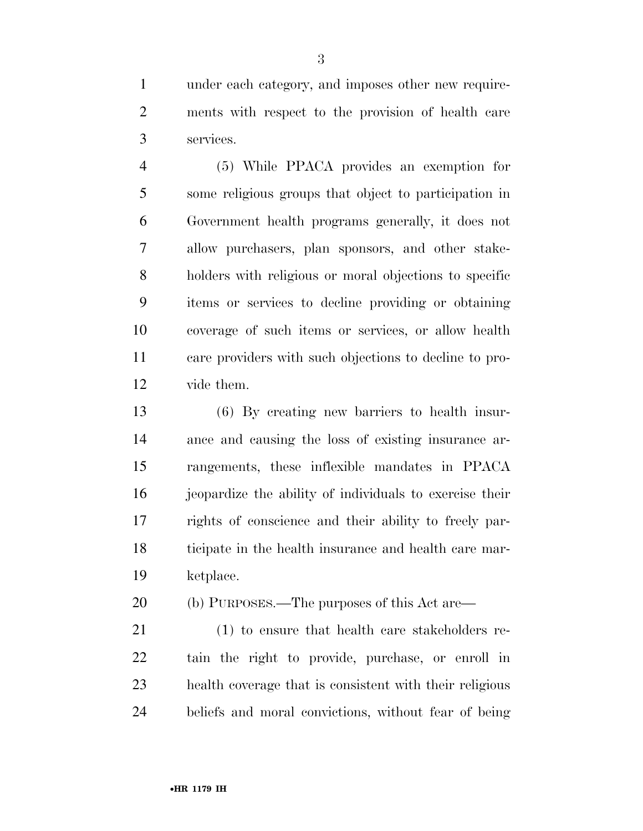under each category, and imposes other new require- ments with respect to the provision of health care services.

 (5) While PPACA provides an exemption for some religious groups that object to participation in Government health programs generally, it does not allow purchasers, plan sponsors, and other stake- holders with religious or moral objections to specific items or services to decline providing or obtaining coverage of such items or services, or allow health care providers with such objections to decline to pro-vide them.

 (6) By creating new barriers to health insur- ance and causing the loss of existing insurance ar- rangements, these inflexible mandates in PPACA jeopardize the ability of individuals to exercise their rights of conscience and their ability to freely par- ticipate in the health insurance and health care mar-ketplace.

(b) PURPOSES.—The purposes of this Act are—

 (1) to ensure that health care stakeholders re- tain the right to provide, purchase, or enroll in health coverage that is consistent with their religious beliefs and moral convictions, without fear of being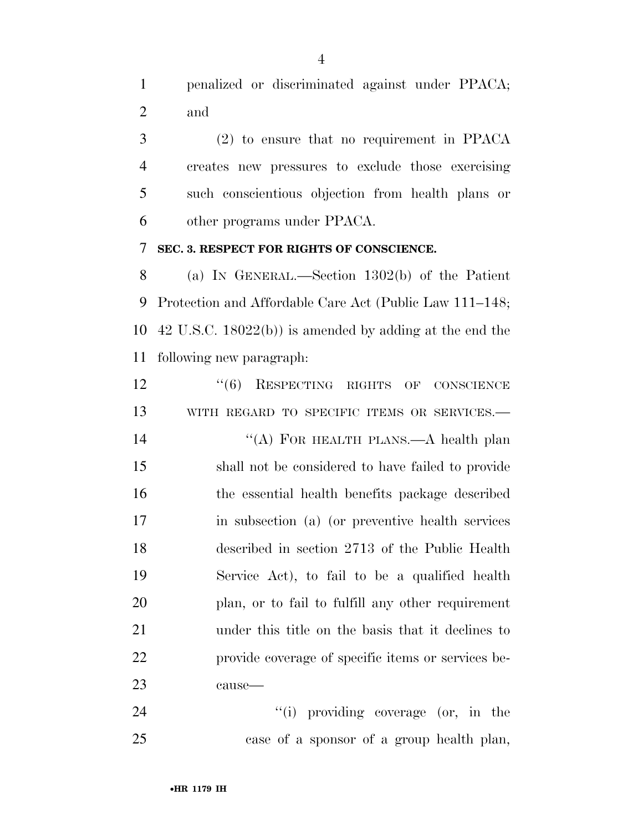penalized or discriminated against under PPACA; and

 (2) to ensure that no requirement in PPACA creates new pressures to exclude those exercising such conscientious objection from health plans or other programs under PPACA.

**SEC. 3. RESPECT FOR RIGHTS OF CONSCIENCE.** 

 (a) IN GENERAL.—Section 1302(b) of the Patient Protection and Affordable Care Act (Public Law 111–148; 42 U.S.C. 18022(b)) is amended by adding at the end the following new paragraph:

12 "(6) RESPECTING RIGHTS OF CONSCIENCE 13 WITH REGARD TO SPECIFIC ITEMS OR SERVICES. 14 "(A) FOR HEALTH PLANS.—A health plan shall not be considered to have failed to provide the essential health benefits package described in subsection (a) (or preventive health services described in section 2713 of the Public Health Service Act), to fail to be a qualified health plan, or to fail to fulfill any other requirement under this title on the basis that it declines to provide coverage of specific items or services be-cause—

24 ''(i) providing coverage (or, in the case of a sponsor of a group health plan,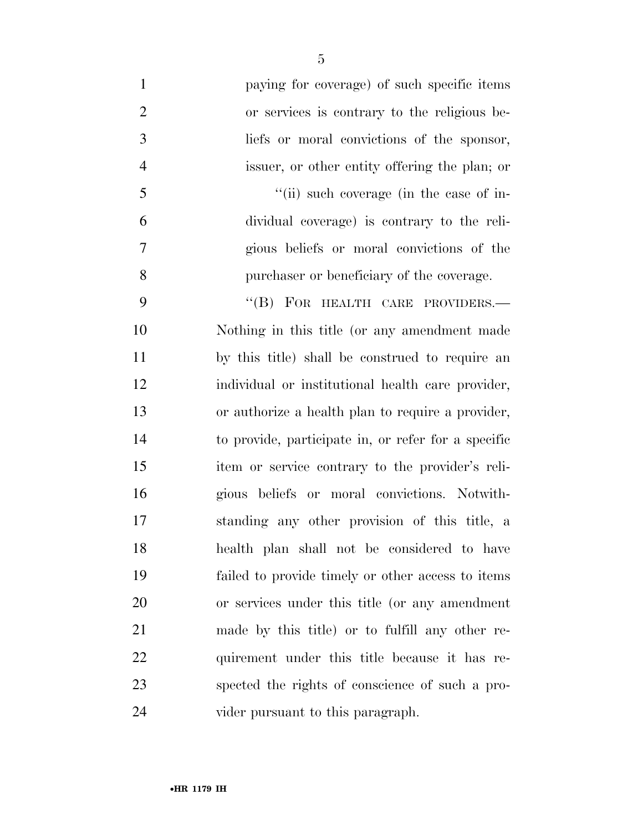| $\mathbf{1}$   | paying for coverage) of such specific items         |
|----------------|-----------------------------------------------------|
| $\overline{2}$ | or services is contrary to the religious be-        |
| 3              | liefs or moral convictions of the sponsor,          |
| $\overline{4}$ | issuer, or other entity offering the plan; or       |
| 5              | "(ii) such coverage (in the case of in-             |
| 6              | dividual coverage) is contrary to the reli-         |
| 7              | gious beliefs or moral convictions of the           |
| 8              | purchaser or beneficiary of the coverage.           |
| 9              | "(B) FOR HEALTH CARE PROVIDERS.-                    |
| 10             | Nothing in this title (or any amendment made        |
| 11             | by this title) shall be construed to require an     |
| 12             | individual or institutional health care provider,   |
| 13             | or authorize a health plan to require a provider,   |
| 14             | to provide, participate in, or refer for a specific |
| 15             | item or service contrary to the provider's reli-    |
| 16             | gious beliefs or moral convictions. Notwith-        |
| 17             | standing any other provision of this title, a       |
| 18             | health plan shall not be considered to have         |
| 19             | failed to provide timely or other access to items   |
| 20             | or services under this title (or any amendment      |
| 21             | made by this title) or to fulfill any other re-     |
| 22             | quirement under this title because it has re-       |
| 23             | spected the rights of conscience of such a pro-     |
| 24             | vider pursuant to this paragraph.                   |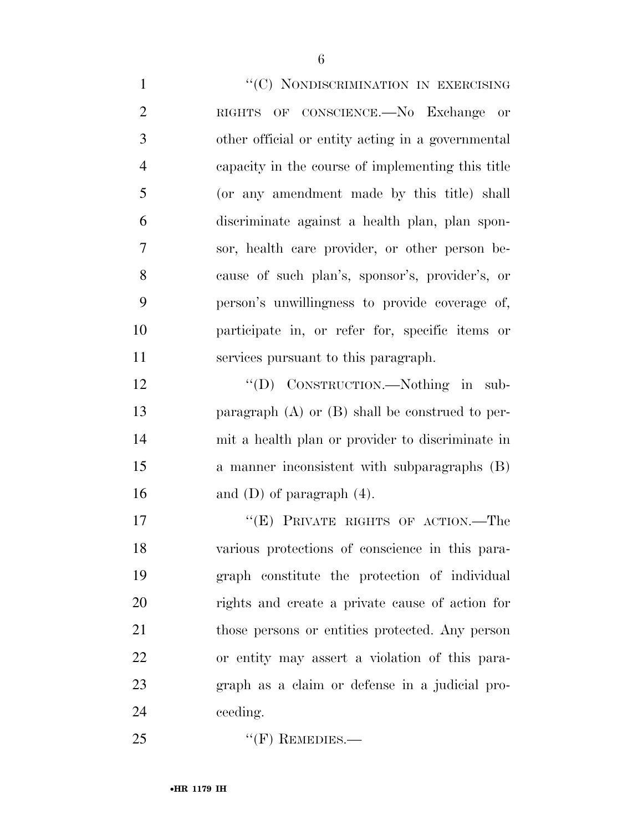1 ''(C) NONDISCRIMINATION IN EXERCISING RIGHTS OF CONSCIENCE.—No Exchange or other official or entity acting in a governmental capacity in the course of implementing this title (or any amendment made by this title) shall discriminate against a health plan, plan spon- sor, health care provider, or other person be- cause of such plan's, sponsor's, provider's, or person's unwillingness to provide coverage of, participate in, or refer for, specific items or services pursuant to this paragraph. 12 "'(D) CONSTRUCTION.—Nothing in sub- paragraph (A) or (B) shall be construed to per-mit a health plan or provider to discriminate in

 a manner inconsistent with subparagraphs (B) 16 and (D) of paragraph  $(4)$ .

17 "'(E) PRIVATE RIGHTS OF ACTION.—The various protections of conscience in this para- graph constitute the protection of individual rights and create a private cause of action for those persons or entities protected. Any person or entity may assert a violation of this para- graph as a claim or defense in a judicial pro-ceeding.

25 "'(F) REMEDIES.—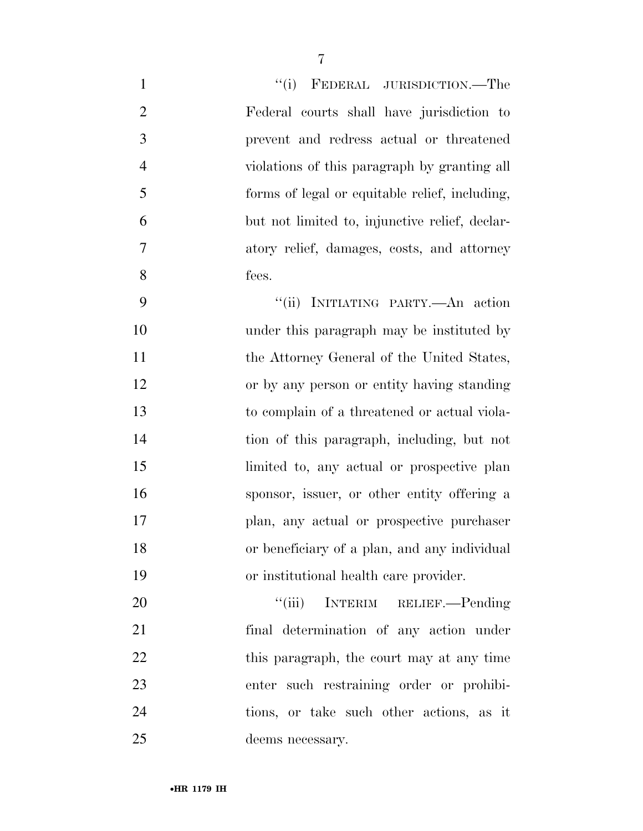| $\mathbf{1}$   | "(i) FEDERAL JURISDICTION.—The                 |
|----------------|------------------------------------------------|
| $\overline{2}$ | Federal courts shall have jurisdiction to      |
| $\overline{3}$ | prevent and redress actual or threatened       |
| $\overline{4}$ | violations of this paragraph by granting all   |
| 5              | forms of legal or equitable relief, including, |
| 6              | but not limited to, injunctive relief, declar- |
| $\overline{7}$ | atory relief, damages, costs, and attorney     |
| 8              | fees.                                          |
| 9              | "(ii) INITIATING PARTY.- An action             |
| 10             | under this paragraph may be instituted by      |
| 11             | the Attorney General of the United States,     |
| 12             | or by any person or entity having standing     |
| 13             | to complain of a threatened or actual viola-   |
| 14             | tion of this paragraph, including, but not     |
| 15             | limited to, any actual or prospective plan     |
| 16             | sponsor, issuer, or other entity offering a    |
| 17             | plan, any actual or prospective purchaser      |
| 18             | or beneficiary of a plan, and any individual   |
| 19             | or institutional health care provider.         |
| 20             | "(iii) INTERIM RELIEF.—Pending                 |
| 21             | final determination of any action under        |
| 22             | this paragraph, the court may at any time      |
| 23             | enter such restraining order or prohibi-       |
| 24             | tions, or take such other actions, as it       |
| 25             | deems necessary.                               |